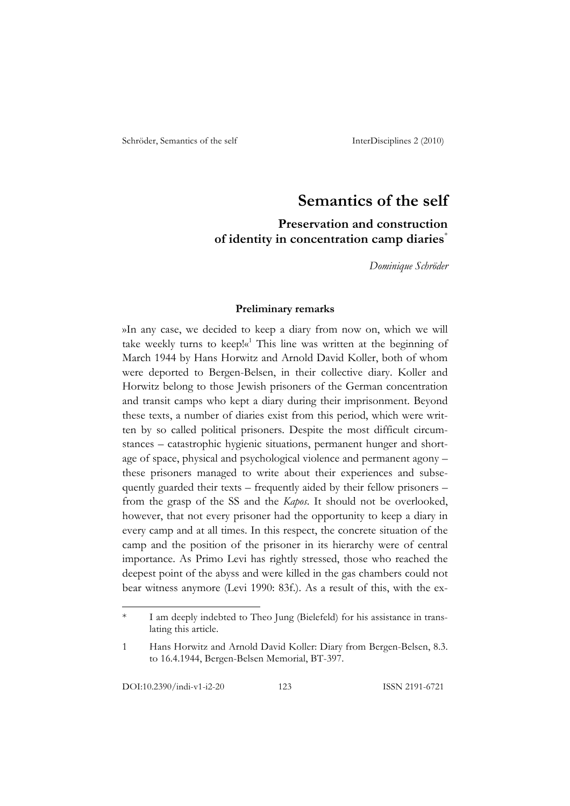# **Semantics of the self**

# **Preservation and construction of identity in concentration camp diaries**\*

*Dominique Schröder*

#### **Preliminary remarks**

»In any case, we decided to keep a diary from now on, which we will take weekly turns to keep! $\kappa^1$  This line was written at the beginning of March 1944 by Hans Horwitz and Arnold David Koller, both of whom were deported to Bergen-Belsen, in their collective diary. Koller and Horwitz belong to those Jewish prisoners of the German concentration and transit camps who kept a diary during their imprisonment. Beyond these texts, a number of diaries exist from this period, which were written by so called political prisoners. Despite the most difficult circumstances – catastrophic hygienic situations, permanent hunger and shortage of space, physical and psychological violence and permanent agony – these prisoners managed to write about their experiences and subsequently guarded their texts – frequently aided by their fellow prisoners – from the grasp of the SS and the *Kapos*. It should not be overlooked, however, that not every prisoner had the opportunity to keep a diary in every camp and at all times. In this respect, the concrete situation of the camp and the position of the prisoner in its hierarchy were of central importance. As Primo Levi has rightly stressed, those who reached the deepest point of the abyss and were killed in the gas chambers could not bear witness anymore (Levi 1990: 83f.). As a result of this, with the ex-

I am deeply indebted to Theo Jung (Bielefeld) for his assistance in translating this article.

<sup>1</sup> Hans Horwitz and Arnold David Koller: Diary from Bergen-Belsen, 8.3. to 16.4.1944, Bergen-Belsen Memorial, BT-397.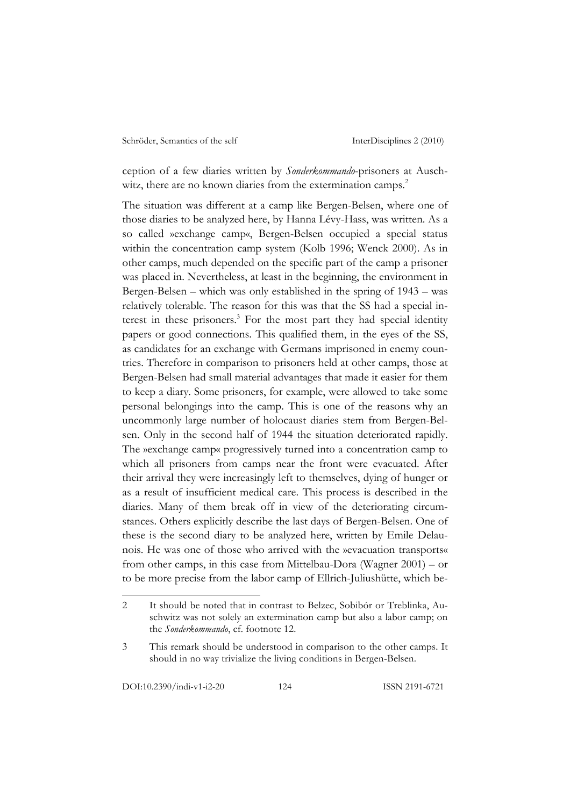ception of a few diaries written by *Sonderkommando*-prisoners at Auschwitz, there are no known diaries from the extermination camps.<sup>2</sup>

The situation was different at a camp like Bergen-Belsen, where one of those diaries to be analyzed here, by Hanna Lévy-Hass, was written. As a so called »exchange camp«, Bergen-Belsen occupied a special status within the concentration camp system (Kolb 1996; Wenck 2000). As in other camps, much depended on the specific part of the camp a prisoner was placed in. Nevertheless, at least in the beginning, the environment in Bergen-Belsen – which was only established in the spring of 1943 – was relatively tolerable. The reason for this was that the SS had a special interest in these prisoners.<sup>3</sup> For the most part they had special identity papers or good connections. This qualified them, in the eyes of the SS, as candidates for an exchange with Germans imprisoned in enemy countries. Therefore in comparison to prisoners held at other camps, those at Bergen-Belsen had small material advantages that made it easier for them to keep a diary. Some prisoners, for example, were allowed to take some personal belongings into the camp. This is one of the reasons why an uncommonly large number of holocaust diaries stem from Bergen-Belsen. Only in the second half of 1944 the situation deteriorated rapidly. The »exchange camp« progressively turned into a concentration camp to which all prisoners from camps near the front were evacuated. After their arrival they were increasingly left to themselves, dying of hunger or as a result of insufficient medical care. This process is described in the diaries. Many of them break off in view of the deteriorating circumstances. Others explicitly describe the last days of Bergen-Belsen. One of these is the second diary to be analyzed here, written by Emile Delaunois. He was one of those who arrived with the »evacuation transports« from other camps, in this case from Mittelbau-Dora (Wagner 2001) – or to be more precise from the labor camp of Ellrich-Juliushütte, which be-

<sup>2</sup> It should be noted that in contrast to Belzec, Sobibór or Treblinka, Auschwitz was not solely an extermination camp but also a labor camp; on the *Sonderkommando*, cf. footnote 12.

<sup>3</sup> This remark should be understood in comparison to the other camps. It should in no way trivialize the living conditions in Bergen-Belsen.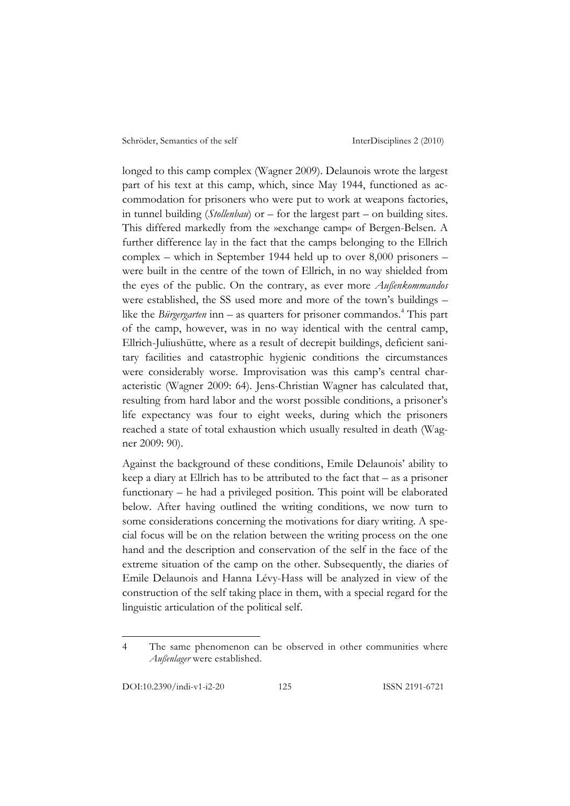longed to this camp complex (Wagner 2009). Delaunois wrote the largest part of his text at this camp, which, since May 1944, functioned as accommodation for prisoners who were put to work at weapons factories, in tunnel building (*Stollenbau*) or – for the largest part – on building sites. This differed markedly from the »exchange camp« of Bergen-Belsen. A further difference lay in the fact that the camps belonging to the Ellrich complex – which in September 1944 held up to over 8,000 prisoners – were built in the centre of the town of Ellrich, in no way shielded from the eyes of the public. On the contrary, as ever more *Außenkommandos* were established, the SS used more and more of the town's buildings – like the *Bürgergarten* inn – as quarters for prisoner commandos.<sup>4</sup> This part of the camp, however, was in no way identical with the central camp, Ellrich-Juliushütte, where as a result of decrepit buildings, deficient sanitary facilities and catastrophic hygienic conditions the circumstances were considerably worse. Improvisation was this camp's central characteristic (Wagner 2009: 64). Jens-Christian Wagner has calculated that, resulting from hard labor and the worst possible conditions, a prisoner's life expectancy was four to eight weeks, during which the prisoners reached a state of total exhaustion which usually resulted in death (Wagner 2009: 90).

Against the background of these conditions, Emile Delaunois' ability to keep a diary at Ellrich has to be attributed to the fact that – as a prisoner functionary – he had a privileged position. This point will be elaborated below. After having outlined the writing conditions, we now turn to some considerations concerning the motivations for diary writing. A special focus will be on the relation between the writing process on the one hand and the description and conservation of the self in the face of the extreme situation of the camp on the other. Subsequently, the diaries of Emile Delaunois and Hanna Lévy-Hass will be analyzed in view of the construction of the self taking place in them, with a special regard for the linguistic articulation of the political self.

<sup>4</sup> The same phenomenon can be observed in other communities where *Außenlager* were established.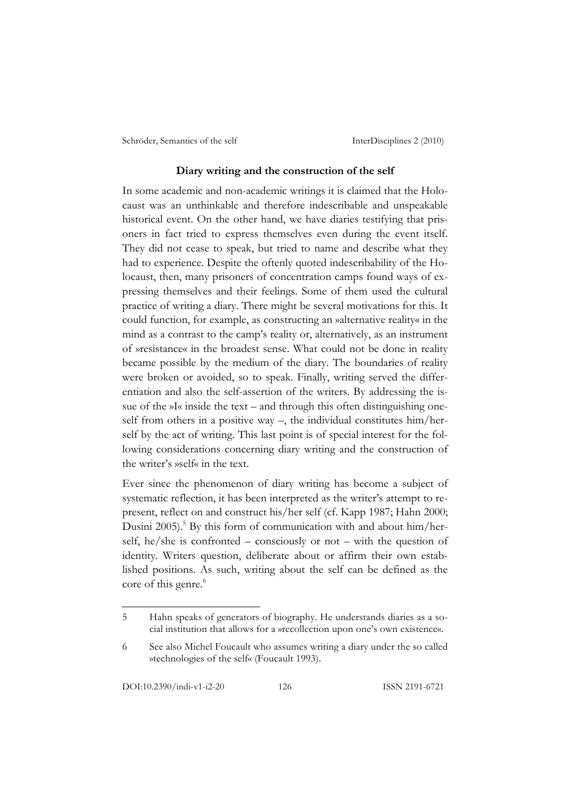## **Diary writing and the construction of the self**

In some academic and non-academic writings it is claimed that the Holocaust was an unthinkable and therefore indescribable and unspeakable historical event. On the other hand, we have diaries testifying that prisoners in fact tried to express themselves even during the event itself. They did not cease to speak, but tried to name and describe what they had to experience. Despite the oftenly quoted indescribability of the Holocaust, then, many prisoners of concentration camps found ways of expressing themselves and their feelings. Some of them used the cultural practice of writing a diary. There might be several motivations for this. It could function, for example, as constructing an »alternative reality« in the mind as a contrast to the camp's reality or, alternatively, as an instrument of »resistance« in the broadest sense. What could not be done in reality became possible by the medium of the diary. The boundaries of reality were broken or avoided, so to speak. Finally, writing served the differentiation and also the self-assertion of the writers. By addressing the issue of the »I« inside the text – and through this often distinguishing oneself from others in a positive way  $-$ , the individual constitutes him/herself by the act of writing. This last point is of special interest for the following considerations concerning diary writing and the construction of the writer's »self« in the text.

Ever since the phenomenon of diary writing has become a subject of systematic reflection, it has been interpreted as the writer's attempt to represent, reflect on and construct his/her self (cf. Kapp 1987; Hahn 2000; Dusini 2005).<sup>5</sup> By this form of communication with and about him/herself, he/she is confronted – consciously or not – with the question of identity. Writers question, deliberate about or affirm their own established positions. As such, writing about the self can be defined as the core of this genre.<sup>6</sup>

<sup>5</sup> Hahn speaks of generators of biography. He understands diaries as a social institution that allows for a »recollection upon one's own existence«.

<sup>6</sup> See also Michel Foucault who assumes writing a diary under the so called »technologies of the self« (Foucault 1993).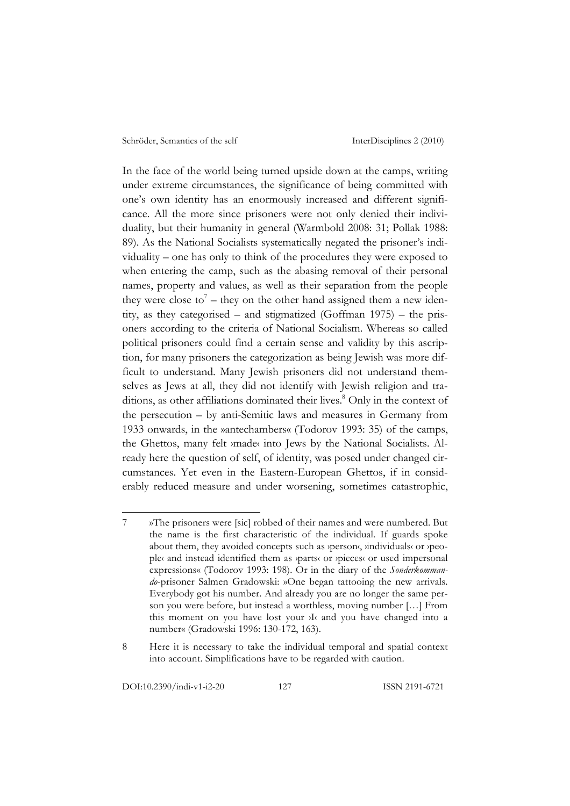In the face of the world being turned upside down at the camps, writing under extreme circumstances, the significance of being committed with one's own identity has an enormously increased and different significance. All the more since prisoners were not only denied their individuality, but their humanity in general (Warmbold 2008: 31; Pollak 1988: 89). As the National Socialists systematically negated the prisoner's individuality – one has only to think of the procedures they were exposed to when entering the camp, such as the abasing removal of their personal names, property and values, as well as their separation from the people they were close to<sup>7</sup> – they on the other hand assigned them a new identity, as they categorised – and stigmatized (Goffman 1975) – the prisoners according to the criteria of National Socialism. Whereas so called political prisoners could find a certain sense and validity by this ascription, for many prisoners the categorization as being Jewish was more difficult to understand. Many Jewish prisoners did not understand themselves as Jews at all, they did not identify with Jewish religion and traditions, as other affiliations dominated their lives.<sup>8</sup> Only in the context of the persecution – by anti-Semitic laws and measures in Germany from 1933 onwards, in the »antechambers« (Todorov 1993: 35) of the camps, the Ghettos, many felt ›made‹ into Jews by the National Socialists. Already here the question of self, of identity, was posed under changed circumstances. Yet even in the Eastern-European Ghettos, if in considerably reduced measure and under worsening, sometimes catastrophic,

<sup>7</sup> »The prisoners were [sic] robbed of their names and were numbered. But the name is the first characteristic of the individual. If guards spoke about them, they avoided concepts such as *yperson*«, *individuals* or *ypeo*ple‹ and instead identified them as ›parts‹ or ›pieces‹ or used impersonal expressions« (Todorov 1993: 198). Or in the diary of the *Sonderkommando*-prisoner Salmen Gradowski: »One began tattooing the new arrivals. Everybody got his number. And already you are no longer the same person you were before, but instead a worthless, moving number […] From this moment on you have lost your ›I‹ and you have changed into a number« (Gradowski 1996: 130-172, 163).

<sup>8</sup> Here it is necessary to take the individual temporal and spatial context into account. Simplifications have to be regarded with caution.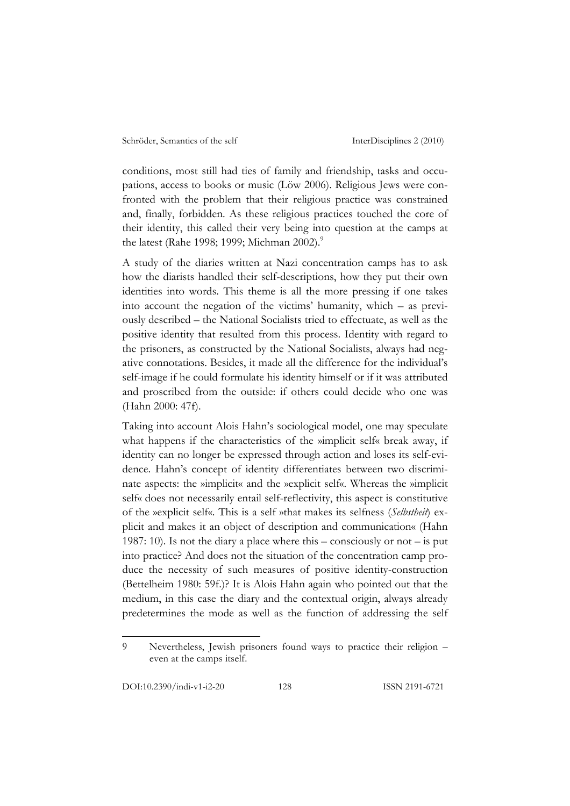conditions, most still had ties of family and friendship, tasks and occupations, access to books or music (Löw 2006). Religious Jews were confronted with the problem that their religious practice was constrained and, finally, forbidden. As these religious practices touched the core of their identity, this called their very being into question at the camps at the latest (Rahe 1998; 1999; Michman 2002).<sup>9</sup>

A study of the diaries written at Nazi concentration camps has to ask how the diarists handled their self-descriptions, how they put their own identities into words. This theme is all the more pressing if one takes into account the negation of the victims' humanity, which – as previously described – the National Socialists tried to effectuate, as well as the positive identity that resulted from this process. Identity with regard to the prisoners, as constructed by the National Socialists, always had negative connotations. Besides, it made all the difference for the individual's self-image if he could formulate his identity himself or if it was attributed and proscribed from the outside: if others could decide who one was (Hahn 2000: 47f).

Taking into account Alois Hahn's sociological model, one may speculate what happens if the characteristics of the »implicit self« break away, if identity can no longer be expressed through action and loses its self-evidence. Hahn's concept of identity differentiates between two discriminate aspects: the »implicit« and the »explicit self«. Whereas the »implicit self« does not necessarily entail self-reflectivity, this aspect is constitutive of the »explicit self«. This is a self »that makes its selfness (*Selbstheit*) explicit and makes it an object of description and communication« (Hahn 1987: 10). Is not the diary a place where this – consciously or not – is put into practice? And does not the situation of the concentration camp produce the necessity of such measures of positive identity-construction (Bettelheim 1980: 59f.)? It is Alois Hahn again who pointed out that the medium, in this case the diary and the contextual origin, always already predetermines the mode as well as the function of addressing the self

<sup>9</sup> Nevertheless, Jewish prisoners found ways to practice their religion – even at the camps itself.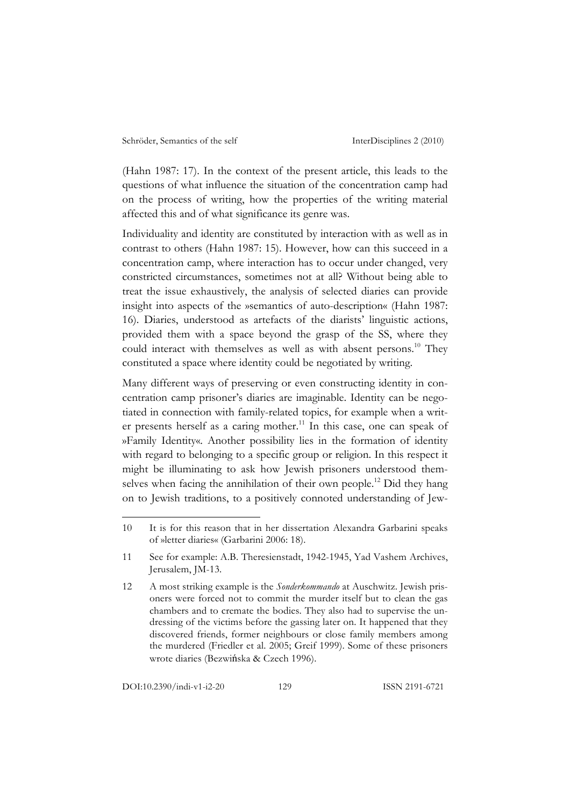(Hahn 1987: 17). In the context of the present article, this leads to the questions of what influence the situation of the concentration camp had on the process of writing, how the properties of the writing material affected this and of what significance its genre was.

Individuality and identity are constituted by interaction with as well as in contrast to others (Hahn 1987: 15). However, how can this succeed in a concentration camp, where interaction has to occur under changed, very constricted circumstances, sometimes not at all? Without being able to treat the issue exhaustively, the analysis of selected diaries can provide insight into aspects of the »semantics of auto-description« (Hahn 1987: 16). Diaries, understood as artefacts of the diarists' linguistic actions, provided them with a space beyond the grasp of the SS, where they could interact with themselves as well as with absent persons.<sup>10</sup> They constituted a space where identity could be negotiated by writing.

Many different ways of preserving or even constructing identity in concentration camp prisoner's diaries are imaginable. Identity can be negotiated in connection with family-related topics, for example when a writer presents herself as a caring mother.<sup>11</sup> In this case, one can speak of »Family Identity«. Another possibility lies in the formation of identity with regard to belonging to a specific group or religion. In this respect it might be illuminating to ask how Jewish prisoners understood themselves when facing the annihilation of their own people.<sup>12</sup> Did they hang on to Jewish traditions, to a positively connoted understanding of Jew-

DOI:10.2390/indi-v1-i2-20 129 ISSN 2191-6721

<sup>10</sup> It is for this reason that in her dissertation Alexandra Garbarini speaks of »letter diaries« (Garbarini 2006: 18).

<sup>11</sup> See for example: A.B. Theresienstadt, 1942-1945, Yad Vashem Archives, Jerusalem, JM-13.

<sup>12</sup> A most striking example is the *Sonderkommando* at Auschwitz. Jewish prisoners were forced not to commit the murder itself but to clean the gas chambers and to cremate the bodies. They also had to supervise the undressing of the victims before the gassing later on. It happened that they discovered friends, former neighbours or close family members among the murdered (Friedler et al. 2005; Greif 1999). Some of these prisoners wrote diaries (Bezwińska & Czech 1996).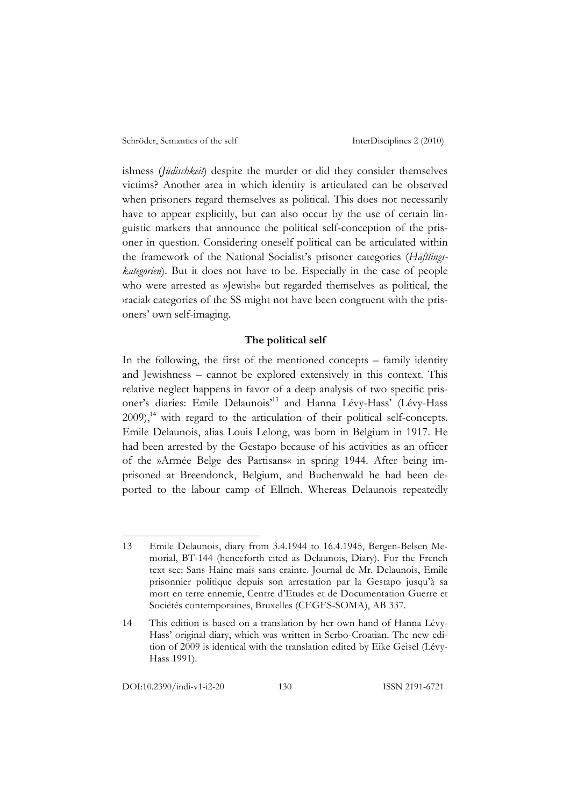ishness (*Jüdischkeit*) despite the murder or did they consider themselves victims? Another area in which identity is articulated can be observed when prisoners regard themselves as political. This does not necessarily have to appear explicitly, but can also occur by the use of certain linguistic markers that announce the political self-conception of the prisoner in question. Considering oneself political can be articulated within the framework of the National Socialist's prisoner categories (*Häftlingskategorien*). But it does not have to be. Especially in the case of people who were arrested as »Jewish« but regarded themselves as political, the ›racial‹ categories of the SS might not have been congruent with the prisoners' own self-imaging.

#### **The political self**

In the following, the first of the mentioned concepts – family identity and Jewishness – cannot be explored extensively in this context. This relative neglect happens in favor of a deep analysis of two specific prisoner's diaries: Emile Delaunois'13 and Hanna Lévy-Hass' (Lévy-Hass 2009), 14 with regard to the articulation of their political self-concepts. Emile Delaunois, alias Louis Lelong, was born in Belgium in 1917. He had been arrested by the Gestapo because of his activities as an officer of the »Armée Belge des Partisans« in spring 1944. After being imprisoned at Breendonck, Belgium, and Buchenwald he had been deported to the labour camp of Ellrich. Whereas Delaunois repeatedly

DOI:10.2390/indi-v1-i2-20 130 ISSN 2191-6721

<sup>13</sup> Emile Delaunois, diary from 3.4.1944 to 16.4.1945, Bergen-Belsen Memorial, BT-144 (henceforth cited as Delaunois, Diary). For the French text see: Sans Haine mais sans crainte. Journal de Mr. Delaunois, Emile prisonnier politique depuis son arrestation par la Gestapo jusqu'à sa mort en terre ennemie, Centre d'Etudes et de Documentation Guerre et Sociétés contemporaines, Bruxelles (CEGES-SOMA), AB 337.

<sup>14</sup> This edition is based on a translation by her own hand of Hanna Lévy-Hass' original diary, which was written in Serbo-Croatian. The new edition of 2009 is identical with the translation edited by Eike Geisel (Lévy-Hass 1991).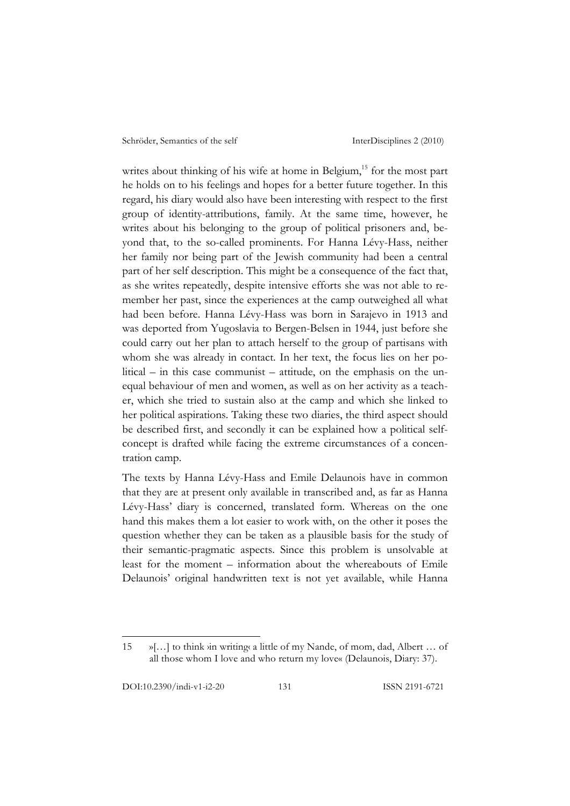writes about thinking of his wife at home in Belgium,<sup>15</sup> for the most part he holds on to his feelings and hopes for a better future together. In this regard, his diary would also have been interesting with respect to the first group of identity-attributions, family. At the same time, however, he writes about his belonging to the group of political prisoners and, beyond that, to the so-called prominents. For Hanna Lévy-Hass, neither her family nor being part of the Jewish community had been a central part of her self description. This might be a consequence of the fact that, as she writes repeatedly, despite intensive efforts she was not able to remember her past, since the experiences at the camp outweighed all what had been before. Hanna Lévy-Hass was born in Sarajevo in 1913 and was deported from Yugoslavia to Bergen-Belsen in 1944, just before she could carry out her plan to attach herself to the group of partisans with whom she was already in contact. In her text, the focus lies on her political – in this case communist – attitude, on the emphasis on the unequal behaviour of men and women, as well as on her activity as a teacher, which she tried to sustain also at the camp and which she linked to her political aspirations. Taking these two diaries, the third aspect should be described first, and secondly it can be explained how a political selfconcept is drafted while facing the extreme circumstances of a concentration camp.

The texts by Hanna Lévy-Hass and Emile Delaunois have in common that they are at present only available in transcribed and, as far as Hanna Lévy-Hass' diary is concerned, translated form. Whereas on the one hand this makes them a lot easier to work with, on the other it poses the question whether they can be taken as a plausible basis for the study of their semantic-pragmatic aspects. Since this problem is unsolvable at least for the moment – information about the whereabouts of Emile Delaunois' original handwritten text is not yet available, while Hanna

<sup>15</sup> »[…] to think ›in writing‹ a little of my Nande, of mom, dad, Albert … of all those whom I love and who return my love« (Delaunois, Diary: 37).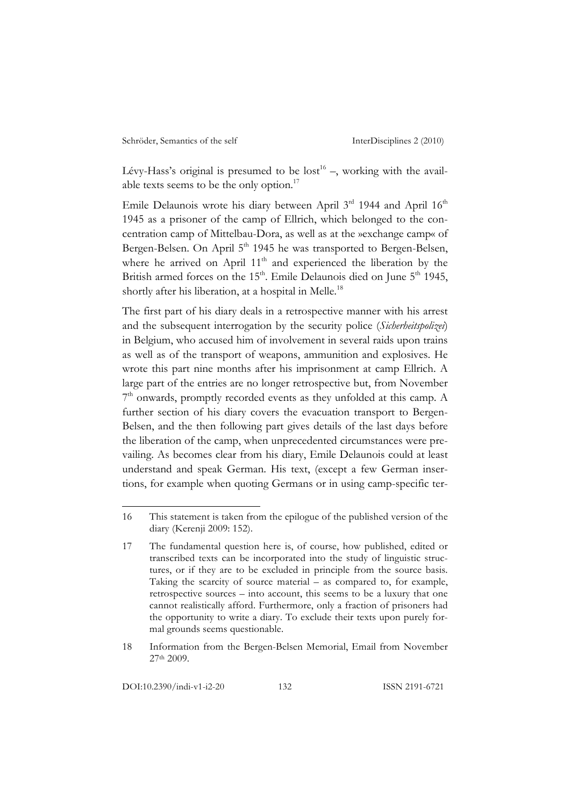Lévy-Hass's original is presumed to be  $\text{lost}^{16}$  –, working with the available texts seems to be the only option.<sup>17</sup>

Emile Delaunois wrote his diary between April  $3<sup>rd</sup>$  1944 and April  $16<sup>th</sup>$ 1945 as a prisoner of the camp of Ellrich, which belonged to the concentration camp of Mittelbau-Dora, as well as at the »exchange camp« of Bergen-Belsen. On April 5<sup>th</sup> 1945 he was transported to Bergen-Belsen, where he arrived on April 11<sup>th</sup> and experienced the liberation by the British armed forces on the 15<sup>th</sup>. Emile Delaunois died on June 5<sup>th</sup> 1945, shortly after his liberation, at a hospital in Melle.<sup>18</sup>

The first part of his diary deals in a retrospective manner with his arrest and the subsequent interrogation by the security police (*Sicherheitspolizei*) in Belgium, who accused him of involvement in several raids upon trains as well as of the transport of weapons, ammunition and explosives. He wrote this part nine months after his imprisonment at camp Ellrich. A large part of the entries are no longer retrospective but, from November 7<sup>th</sup> onwards, promptly recorded events as they unfolded at this camp. A further section of his diary covers the evacuation transport to Bergen-Belsen, and the then following part gives details of the last days before the liberation of the camp, when unprecedented circumstances were prevailing. As becomes clear from his diary, Emile Delaunois could at least understand and speak German. His text, (except a few German insertions, for example when quoting Germans or in using camp-specific ter-

<sup>16</sup> This statement is taken from the epilogue of the published version of the diary (Kerenji 2009: 152).

<sup>17</sup> The fundamental question here is, of course, how published, edited or transcribed texts can be incorporated into the study of linguistic structures, or if they are to be excluded in principle from the source basis. Taking the scarcity of source material – as compared to, for example, retrospective sources – into account, this seems to be a luxury that one cannot realistically afford. Furthermore, only a fraction of prisoners had the opportunity to write a diary. To exclude their texts upon purely formal grounds seems questionable.

<sup>18</sup> Information from the Bergen-Belsen Memorial, Email from November 27th 2009.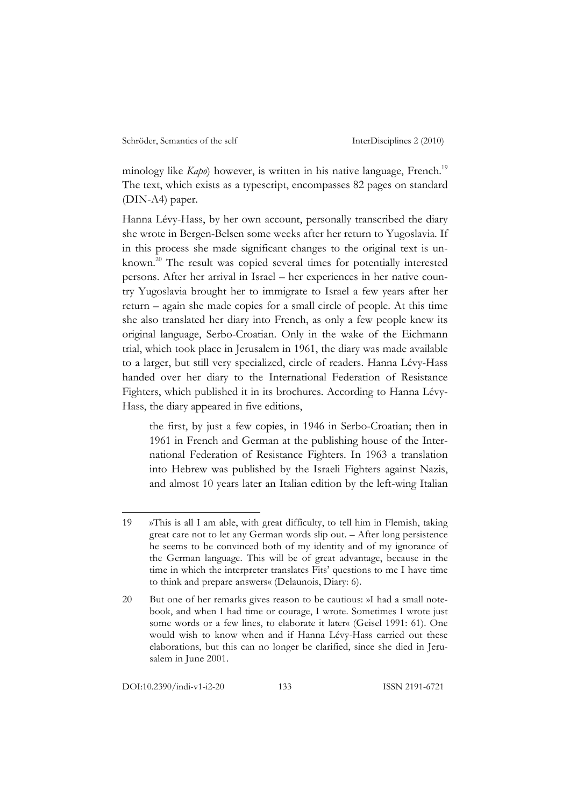minology like *Kapo*) however, is written in his native language, French.<sup>19</sup> The text, which exists as a typescript, encompasses 82 pages on standard (DIN-A4) paper.

Hanna Lévy-Hass, by her own account, personally transcribed the diary she wrote in Bergen-Belsen some weeks after her return to Yugoslavia. If in this process she made significant changes to the original text is unknown.20 The result was copied several times for potentially interested persons. After her arrival in Israel – her experiences in her native country Yugoslavia brought her to immigrate to Israel a few years after her return – again she made copies for a small circle of people. At this time she also translated her diary into French, as only a few people knew its original language, Serbo-Croatian. Only in the wake of the Eichmann trial, which took place in Jerusalem in 1961, the diary was made available to a larger, but still very specialized, circle of readers. Hanna Lévy-Hass handed over her diary to the International Federation of Resistance Fighters, which published it in its brochures. According to Hanna Lévy-Hass, the diary appeared in five editions,

the first, by just a few copies, in 1946 in Serbo-Croatian; then in 1961 in French and German at the publishing house of the International Federation of Resistance Fighters. In 1963 a translation into Hebrew was published by the Israeli Fighters against Nazis, and almost 10 years later an Italian edition by the left-wing Italian

<sup>19</sup> »This is all I am able, with great difficulty, to tell him in Flemish, taking great care not to let any German words slip out. – After long persistence he seems to be convinced both of my identity and of my ignorance of the German language. This will be of great advantage, because in the time in which the interpreter translates Fits' questions to me I have time to think and prepare answers« (Delaunois, Diary: 6).

<sup>20</sup> But one of her remarks gives reason to be cautious: »I had a small notebook, and when I had time or courage, I wrote. Sometimes I wrote just some words or a few lines, to elaborate it later« (Geisel 1991: 61). One would wish to know when and if Hanna Lévy-Hass carried out these elaborations, but this can no longer be clarified, since she died in Jerusalem in June 2001.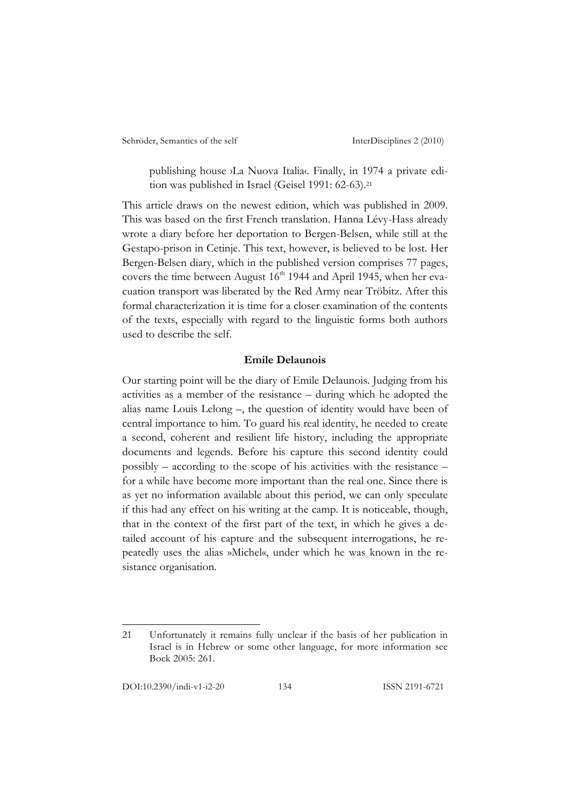publishing house >La Nuova Italia<br/>
Italia Finally, in 1974 a private edition was published in Israel (Geisel 1991: 62-63).21

This article draws on the newest edition, which was published in 2009. This was based on the first French translation. Hanna Lévy-Hass already wrote a diary before her deportation to Bergen-Belsen, while still at the Gestapo-prison in Cetinje. This text, however, is believed to be lost. Her Bergen-Belsen diary, which in the published version comprises 77 pages, covers the time between August  $16<sup>th</sup>$  1944 and April 1945, when her evacuation transport was liberated by the Red Army near Tröbitz. After this formal characterization it is time for a closer examination of the contents of the texts, especially with regard to the linguistic forms both authors used to describe the self.

### **Emile Delaunois**

Our starting point will be the diary of Emile Delaunois. Judging from his activities as a member of the resistance – during which he adopted the alias name Louis Lelong –, the question of identity would have been of central importance to him. To guard his real identity, he needed to create a second, coherent and resilient life history, including the appropriate documents and legends. Before his capture this second identity could possibly – according to the scope of his activities with the resistance – for a while have become more important than the real one. Since there is as yet no information available about this period, we can only speculate if this had any effect on his writing at the camp. It is noticeable, though, that in the context of the first part of the text, in which he gives a detailed account of his capture and the subsequent interrogations, he repeatedly uses the alias »Michel«, under which he was known in the resistance organisation.

<sup>21</sup> Unfortunately it remains fully unclear if the basis of her publication in Israel is in Hebrew or some other language, for more information see Bock 2005: 261.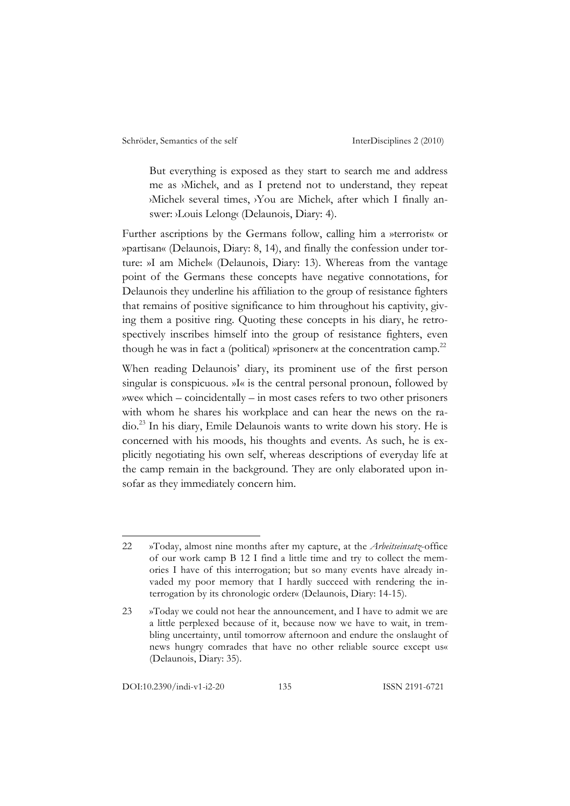But everything is exposed as they start to search me and address me as ›Michel‹, and as I pretend not to understand, they repeat ›Michel‹ several times, ›You are Michel‹, after which I finally answer: ›Louis Lelong‹ (Delaunois, Diary: 4).

Further ascriptions by the Germans follow, calling him a »terrorist« or »partisan« (Delaunois, Diary: 8, 14), and finally the confession under torture: »I am Michel« (Delaunois, Diary: 13). Whereas from the vantage point of the Germans these concepts have negative connotations, for Delaunois they underline his affiliation to the group of resistance fighters that remains of positive significance to him throughout his captivity, giving them a positive ring. Quoting these concepts in his diary, he retrospectively inscribes himself into the group of resistance fighters, even though he was in fact a (political) »prisoner« at the concentration camp.<sup>22</sup>

When reading Delaunois' diary, its prominent use of the first person singular is conspicuous. »I« is the central personal pronoun, followed by »we« which – coincidentally – in most cases refers to two other prisoners with whom he shares his workplace and can hear the news on the radio.23 In his diary, Emile Delaunois wants to write down his story. He is concerned with his moods, his thoughts and events. As such, he is explicitly negotiating his own self, whereas descriptions of everyday life at the camp remain in the background. They are only elaborated upon insofar as they immediately concern him.

DOI:10.2390/indi-v1-i2-20 135 ISSN 2191-6721

<sup>22</sup> »Today, almost nine months after my capture, at the *Arbeitseinsatz*-office of our work camp B 12 I find a little time and try to collect the memories I have of this interrogation; but so many events have already invaded my poor memory that I hardly succeed with rendering the interrogation by its chronologic order« (Delaunois, Diary: 14-15).

<sup>23</sup> »Today we could not hear the announcement, and I have to admit we are a little perplexed because of it, because now we have to wait, in trembling uncertainty, until tomorrow afternoon and endure the onslaught of news hungry comrades that have no other reliable source except us« (Delaunois, Diary: 35).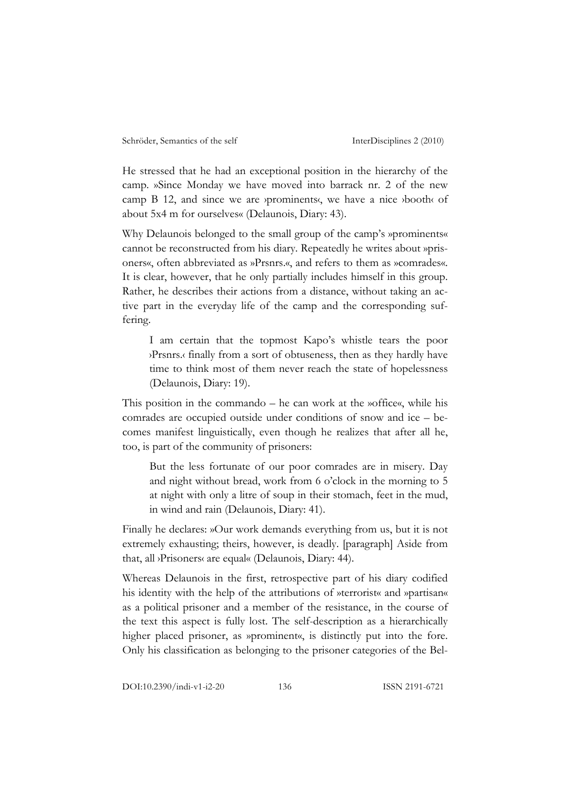He stressed that he had an exceptional position in the hierarchy of the camp. »Since Monday we have moved into barrack nr. 2 of the new camp B 12, and since we are *yprominents*, we have a nice *ybooth* of about 5x4 m for ourselves« (Delaunois, Diary: 43).

Why Delaunois belonged to the small group of the camp's »prominents« cannot be reconstructed from his diary. Repeatedly he writes about »prisoners«, often abbreviated as »Prsnrs.«, and refers to them as »comrades«. It is clear, however, that he only partially includes himself in this group. Rather, he describes their actions from a distance, without taking an active part in the everyday life of the camp and the corresponding suffering.

I am certain that the topmost Kapo's whistle tears the poor ›Prsnrs.‹ finally from a sort of obtuseness, then as they hardly have time to think most of them never reach the state of hopelessness (Delaunois, Diary: 19).

This position in the commando – he can work at the »office«, while his comrades are occupied outside under conditions of snow and ice – becomes manifest linguistically, even though he realizes that after all he, too, is part of the community of prisoners:

But the less fortunate of our poor comrades are in misery. Day and night without bread, work from 6 o'clock in the morning to 5 at night with only a litre of soup in their stomach, feet in the mud, in wind and rain (Delaunois, Diary: 41).

Finally he declares: »Our work demands everything from us, but it is not extremely exhausting; theirs, however, is deadly. [paragraph] Aside from that, all ›Prisoners‹ are equal« (Delaunois, Diary: 44).

Whereas Delaunois in the first, retrospective part of his diary codified his identity with the help of the attributions of »terrorist« and »partisan« as a political prisoner and a member of the resistance, in the course of the text this aspect is fully lost. The self-description as a hierarchically higher placed prisoner, as »prominent«, is distinctly put into the fore. Only his classification as belonging to the prisoner categories of the Bel-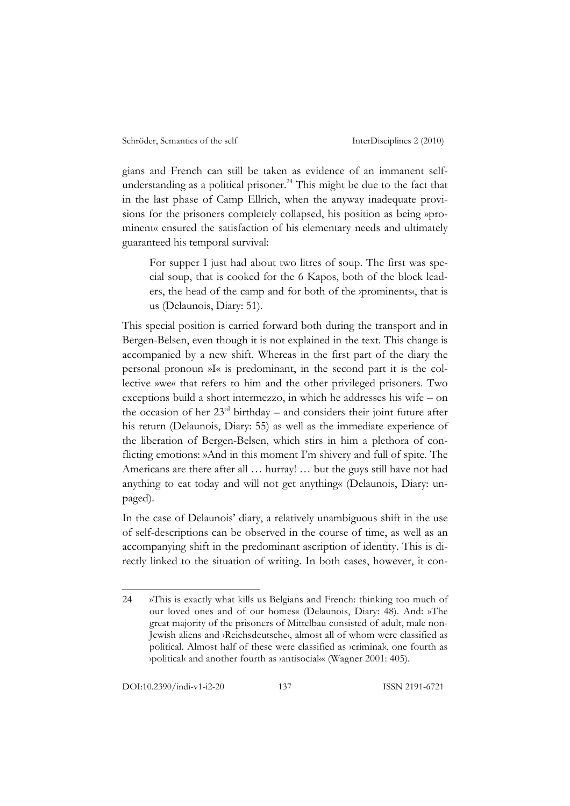gians and French can still be taken as evidence of an immanent selfunderstanding as a political prisoner. 24 This might be due to the fact that in the last phase of Camp Ellrich, when the anyway inadequate provisions for the prisoners completely collapsed, his position as being »prominent« ensured the satisfaction of his elementary needs and ultimately guaranteed his temporal survival:

For supper I just had about two litres of soup. The first was special soup, that is cooked for the 6 Kapos, both of the block leaders, the head of the camp and for both of the *yprominents*, that is us (Delaunois, Diary: 51).

This special position is carried forward both during the transport and in Bergen-Belsen, even though it is not explained in the text. This change is accompanied by a new shift. Whereas in the first part of the diary the personal pronoun »I« is predominant, in the second part it is the collective »we« that refers to him and the other privileged prisoners. Two exceptions build a short intermezzo, in which he addresses his wife – on the occasion of her  $23<sup>rd</sup>$  birthday – and considers their joint future after his return (Delaunois, Diary: 55) as well as the immediate experience of the liberation of Bergen-Belsen, which stirs in him a plethora of conflicting emotions: »And in this moment I'm shivery and full of spite. The Americans are there after all … hurray! … but the guys still have not had anything to eat today and will not get anything« (Delaunois, Diary: unpaged).

In the case of Delaunois' diary, a relatively unambiguous shift in the use of self-descriptions can be observed in the course of time, as well as an accompanying shift in the predominant ascription of identity. This is directly linked to the situation of writing. In both cases, however, it con-

<sup>24</sup> »This is exactly what kills us Belgians and French: thinking too much of our loved ones and of our homes« (Delaunois, Diary: 48). And: »The great majority of the prisoners of Mittelbau consisted of adult, male non-Jewish aliens and ›Reichsdeutsche‹, almost all of whom were classified as political. Almost half of these were classified as ›criminal‹, one fourth as ›political‹ and another fourth as ›antisocial‹« (Wagner 2001: 405).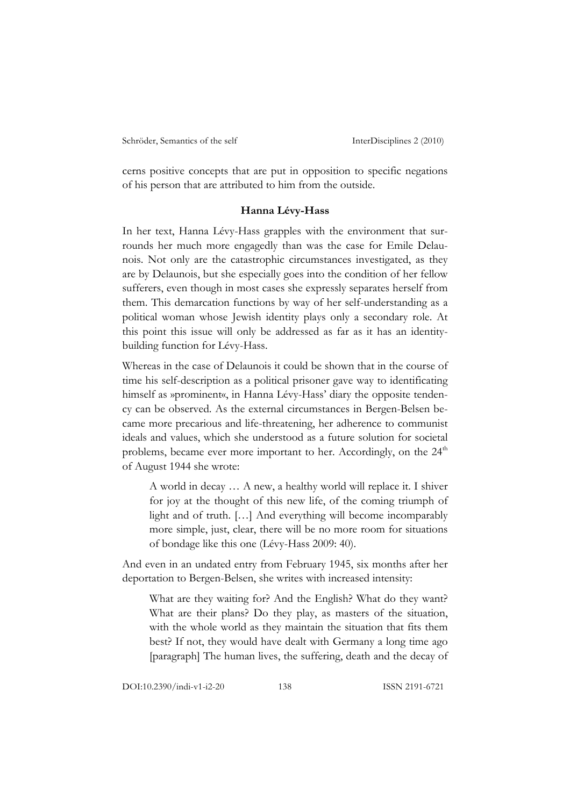cerns positive concepts that are put in opposition to specific negations of his person that are attributed to him from the outside.

#### **Hanna Lévy-Hass**

In her text, Hanna Lévy-Hass grapples with the environment that surrounds her much more engagedly than was the case for Emile Delaunois. Not only are the catastrophic circumstances investigated, as they are by Delaunois, but she especially goes into the condition of her fellow sufferers, even though in most cases she expressly separates herself from them. This demarcation functions by way of her self-understanding as a political woman whose Jewish identity plays only a secondary role. At this point this issue will only be addressed as far as it has an identitybuilding function for Lévy-Hass.

Whereas in the case of Delaunois it could be shown that in the course of time his self-description as a political prisoner gave way to identificating himself as »prominent«, in Hanna Lévy-Hass' diary the opposite tendency can be observed. As the external circumstances in Bergen-Belsen became more precarious and life-threatening, her adherence to communist ideals and values, which she understood as a future solution for societal problems, became ever more important to her. Accordingly, on the  $24<sup>th</sup>$ of August 1944 she wrote:

A world in decay … A new, a healthy world will replace it. I shiver for joy at the thought of this new life, of the coming triumph of light and of truth. […] And everything will become incomparably more simple, just, clear, there will be no more room for situations of bondage like this one (Lévy-Hass 2009: 40).

And even in an undated entry from February 1945, six months after her deportation to Bergen-Belsen, she writes with increased intensity:

What are they waiting for? And the English? What do they want? What are their plans? Do they play, as masters of the situation, with the whole world as they maintain the situation that fits them best? If not, they would have dealt with Germany a long time ago [paragraph] The human lives, the suffering, death and the decay of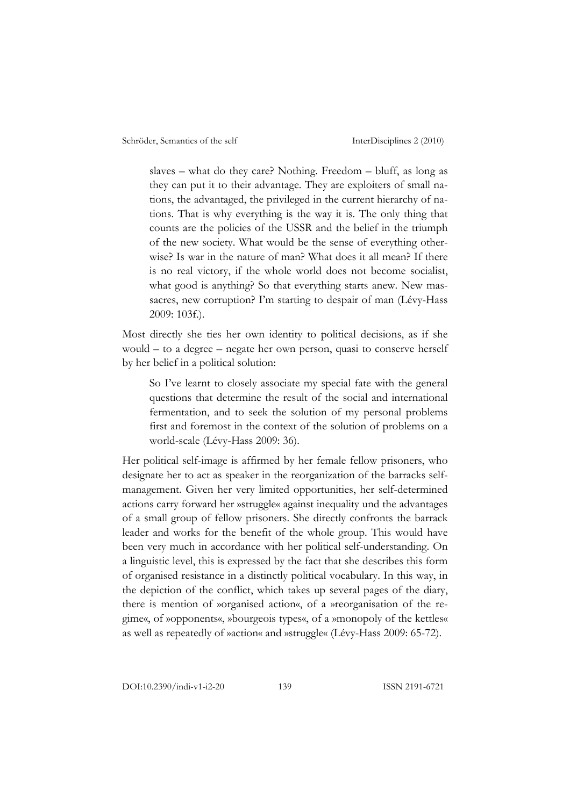slaves – what do they care? Nothing. Freedom – bluff, as long as they can put it to their advantage. They are exploiters of small nations, the advantaged, the privileged in the current hierarchy of nations. That is why everything is the way it is. The only thing that counts are the policies of the USSR and the belief in the triumph of the new society. What would be the sense of everything otherwise? Is war in the nature of man? What does it all mean? If there is no real victory, if the whole world does not become socialist, what good is anything? So that everything starts anew. New massacres, new corruption? I'm starting to despair of man (Lévy-Hass 2009: 103f.).

Most directly she ties her own identity to political decisions, as if she would – to a degree – negate her own person, quasi to conserve herself by her belief in a political solution:

So I've learnt to closely associate my special fate with the general questions that determine the result of the social and international fermentation, and to seek the solution of my personal problems first and foremost in the context of the solution of problems on a world-scale (Lévy-Hass 2009: 36).

Her political self-image is affirmed by her female fellow prisoners, who designate her to act as speaker in the reorganization of the barracks selfmanagement. Given her very limited opportunities, her self-determined actions carry forward her »struggle« against inequality und the advantages of a small group of fellow prisoners. She directly confronts the barrack leader and works for the benefit of the whole group. This would have been very much in accordance with her political self-understanding. On a linguistic level, this is expressed by the fact that she describes this form of organised resistance in a distinctly political vocabulary. In this way, in the depiction of the conflict, which takes up several pages of the diary, there is mention of »organised action«, of a »reorganisation of the regime«, of »opponents«, »bourgeois types«, of a »monopoly of the kettles« as well as repeatedly of »action« and »struggle« (Lévy-Hass 2009: 65-72).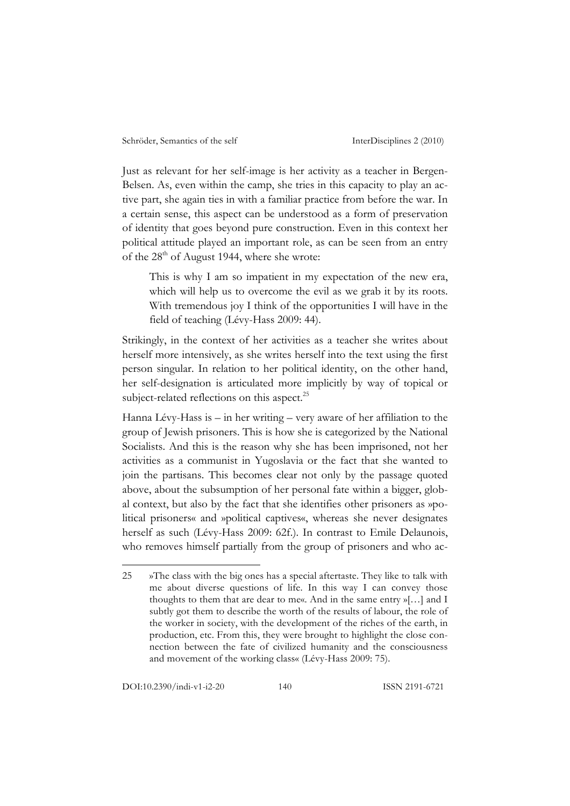Just as relevant for her self-image is her activity as a teacher in Bergen-Belsen. As, even within the camp, she tries in this capacity to play an active part, she again ties in with a familiar practice from before the war. In a certain sense, this aspect can be understood as a form of preservation of identity that goes beyond pure construction. Even in this context her political attitude played an important role, as can be seen from an entry of the  $28<sup>th</sup>$  of August 1944, where she wrote:

This is why I am so impatient in my expectation of the new era, which will help us to overcome the evil as we grab it by its roots. With tremendous joy I think of the opportunities I will have in the field of teaching (Lévy-Hass 2009: 44).

Strikingly, in the context of her activities as a teacher she writes about herself more intensively, as she writes herself into the text using the first person singular. In relation to her political identity, on the other hand, her self-designation is articulated more implicitly by way of topical or subject-related reflections on this aspect.<sup>25</sup>

Hanna Lévy-Hass is – in her writing – very aware of her affiliation to the group of Jewish prisoners. This is how she is categorized by the National Socialists. And this is the reason why she has been imprisoned, not her activities as a communist in Yugoslavia or the fact that she wanted to join the partisans. This becomes clear not only by the passage quoted above, about the subsumption of her personal fate within a bigger, global context, but also by the fact that she identifies other prisoners as »political prisoners« and »political captives«, whereas she never designates herself as such (Lévy-Hass 2009: 62f.). In contrast to Emile Delaunois, who removes himself partially from the group of prisoners and who ac-

<sup>25</sup> »The class with the big ones has a special aftertaste. They like to talk with me about diverse questions of life. In this way I can convey those thoughts to them that are dear to me«. And in the same entry »[…] and I subtly got them to describe the worth of the results of labour, the role of the worker in society, with the development of the riches of the earth, in production, etc. From this, they were brought to highlight the close connection between the fate of civilized humanity and the consciousness and movement of the working class« (Lévy-Hass 2009: 75).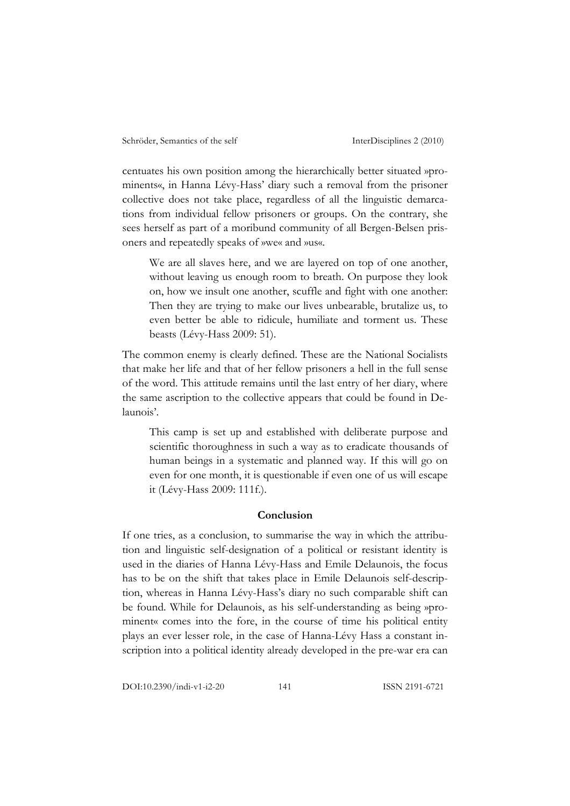centuates his own position among the hierarchically better situated »prominents«, in Hanna Lévy-Hass' diary such a removal from the prisoner collective does not take place, regardless of all the linguistic demarcations from individual fellow prisoners or groups. On the contrary, she sees herself as part of a moribund community of all Bergen-Belsen prisoners and repeatedly speaks of »we« and »us«.

We are all slaves here, and we are layered on top of one another, without leaving us enough room to breath. On purpose they look on, how we insult one another, scuffle and fight with one another: Then they are trying to make our lives unbearable, brutalize us, to even better be able to ridicule, humiliate and torment us. These beasts (Lévy-Hass 2009: 51).

The common enemy is clearly defined. These are the National Socialists that make her life and that of her fellow prisoners a hell in the full sense of the word. This attitude remains until the last entry of her diary, where the same ascription to the collective appears that could be found in Delaunois'.

This camp is set up and established with deliberate purpose and scientific thoroughness in such a way as to eradicate thousands of human beings in a systematic and planned way. If this will go on even for one month, it is questionable if even one of us will escape it (Lévy-Hass 2009: 111f.).

#### **Conclusion**

If one tries, as a conclusion, to summarise the way in which the attribution and linguistic self-designation of a political or resistant identity is used in the diaries of Hanna Lévy-Hass and Emile Delaunois, the focus has to be on the shift that takes place in Emile Delaunois self-description, whereas in Hanna Lévy-Hass's diary no such comparable shift can be found. While for Delaunois, as his self-understanding as being »prominent« comes into the fore, in the course of time his political entity plays an ever lesser role, in the case of Hanna-Lévy Hass a constant inscription into a political identity already developed in the pre-war era can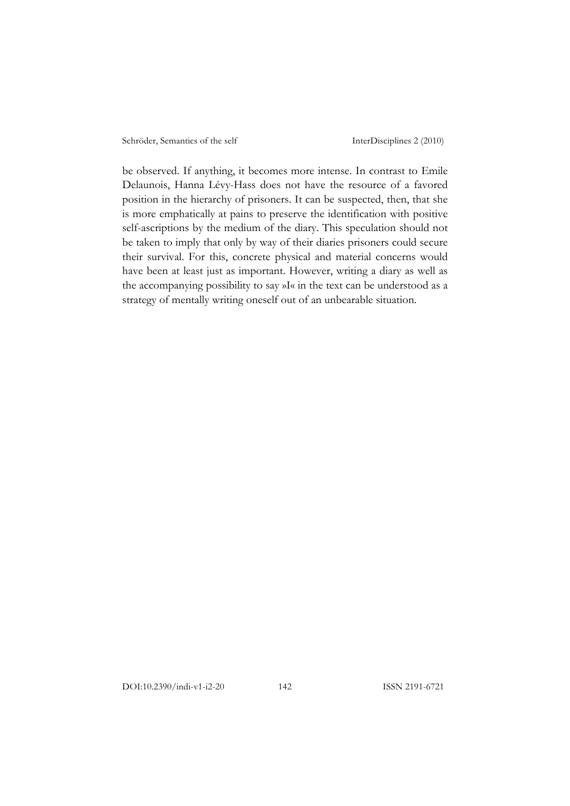be observed. If anything, it becomes more intense. In contrast to Emile Delaunois, Hanna Lévy-Hass does not have the resource of a favored position in the hierarchy of prisoners. It can be suspected, then, that she is more emphatically at pains to preserve the identification with positive self-ascriptions by the medium of the diary. This speculation should not be taken to imply that only by way of their diaries prisoners could secure their survival. For this, concrete physical and material concerns would have been at least just as important. However, writing a diary as well as the accompanying possibility to say »I« in the text can be understood as a strategy of mentally writing oneself out of an unbearable situation.

DOI:10.2390/indi-v1-i2-20 142 ISSN 2191-6721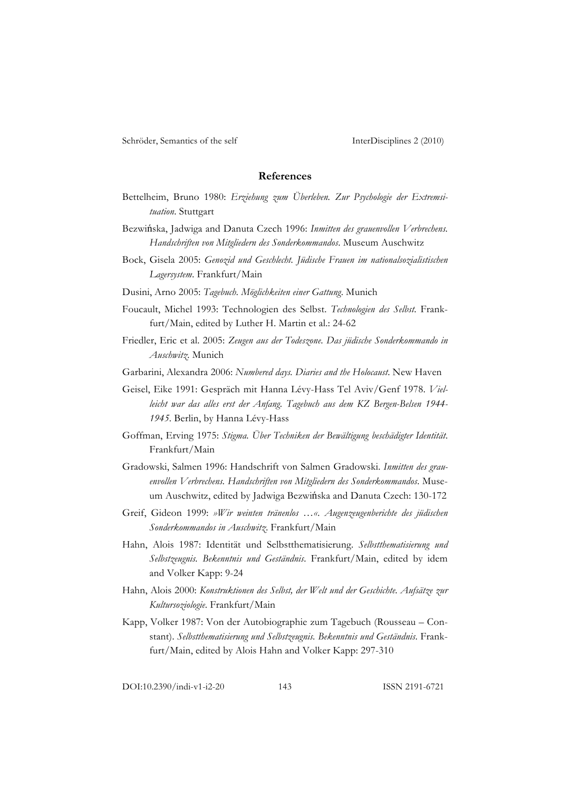#### **References**

- Bettelheim, Bruno 1980: *Erziehung zum Überleben. Zur Psychologie der Extremsituation*. Stuttgart
- Bezwińska, Jadwiga and Danuta Czech 1996: *Inmitten des grauenvollen Verbrechens. Handschriften von Mitgliedern des Sonderkommandos*. Museum Auschwitz
- Bock, Gisela 2005: *Genozid und Geschlecht. Jüdische Frauen im nationalsozialistischen Lagersystem*. Frankfurt/Main

Dusini, Arno 2005: *Tagebuch. Möglichkeiten einer Gattung*. Munich

- Foucault, Michel 1993: Technologien des Selbst. *Technologien des Selbst*. Frankfurt/Main, edited by Luther H. Martin et al.: 24-62
- Friedler, Eric et al. 2005: *Zeugen aus der Todeszone. Das jüdische Sonderkommando in Auschwitz*. Munich
- Garbarini, Alexandra 2006: *Numbered days. Diaries and the Holocaust*. New Haven
- Geisel, Eike 1991: Gespräch mit Hanna Lévy-Hass Tel Aviv/Genf 1978. *Vielleicht war das alles erst der Anfang. Tagebuch aus dem KZ Bergen-Belsen 1944- 1945*. Berlin, by Hanna Lévy-Hass
- Goffman, Erving 1975: *Stigma. Über Techniken der Bewältigung beschädigter Identität*. Frankfurt/Main
- Gradowski, Salmen 1996: Handschrift von Salmen Gradowski. *Inmitten des grauenvollen Verbrechens. Handschriften von Mitgliedern des Sonderkommandos*. Museum Auschwitz, edited by Jadwiga Bezwińska and Danuta Czech: 130-172
- Greif, Gideon 1999: *»Wir weinten tränenlos …«. Augenzeugenberichte des jüdischen Sonderkommandos in Auschwitz*. Frankfurt/Main
- Hahn, Alois 1987: Identität und Selbstthematisierung. *Selbstthematisierung und Selbstzeugnis. Bekenntnis und Geständnis*. Frankfurt/Main, edited by idem and Volker Kapp: 9-24
- Hahn, Alois 2000: *Konstruktionen des Selbst, der Welt und der Geschichte. Aufsätze zur Kultursoziologie*. Frankfurt/Main
- Kapp, Volker 1987: Von der Autobiographie zum Tagebuch (Rousseau Constant). *Selbstthematisierung und Selbstzeugnis. Bekenntnis und Geständnis*. Frankfurt/Main, edited by Alois Hahn and Volker Kapp: 297-310

DOI:10.2390/indi-v1-i2-20 143 ISSN 2191-6721